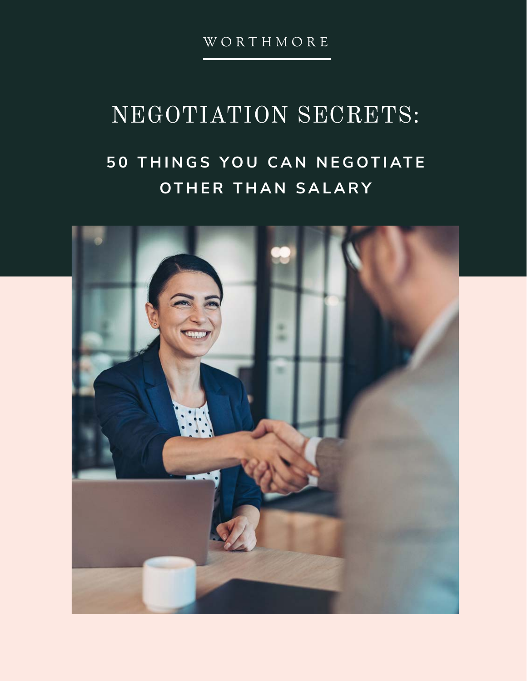WORTHMORE

## NEGOTIATION SECRETS:

### **5 0 T H I N G S Y O U C A N N E G O T I AT E OTHER THAN SALARY**